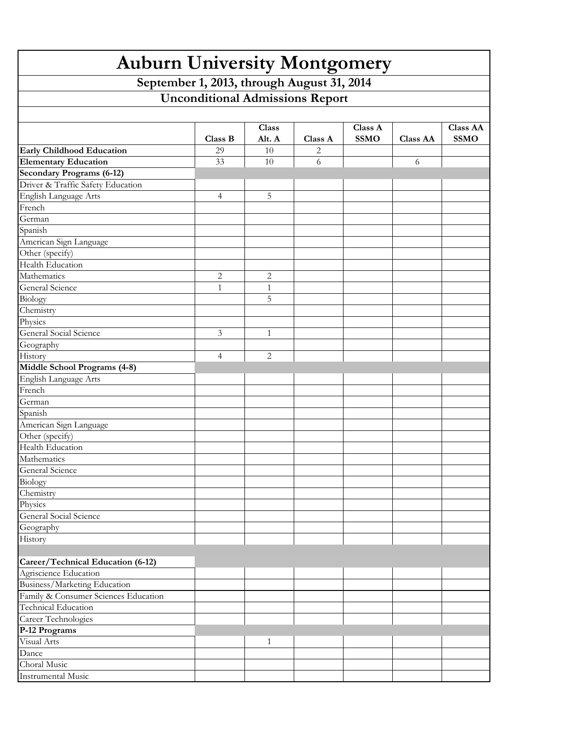| <b>Auburn University Montgomery</b>                                                  |                |                |         |             |                 |                 |  |  |  |  |  |
|--------------------------------------------------------------------------------------|----------------|----------------|---------|-------------|-----------------|-----------------|--|--|--|--|--|
| September 1, 2013, through August 31, 2014<br><b>Unconditional Admissions Report</b> |                |                |         |             |                 |                 |  |  |  |  |  |
|                                                                                      |                |                |         |             |                 |                 |  |  |  |  |  |
|                                                                                      |                |                |         |             |                 |                 |  |  |  |  |  |
|                                                                                      |                | <b>Class</b>   |         | Class A     |                 | <b>Class AA</b> |  |  |  |  |  |
|                                                                                      | Class B        | Alt. A         | Class A | <b>SSMO</b> | <b>Class AA</b> | <b>SSMO</b>     |  |  |  |  |  |
| <b>Early Childhood Education</b><br><b>Elementary Education</b>                      | 29<br>33       | 10<br>10       | 2<br>6  |             |                 |                 |  |  |  |  |  |
| <b>Secondary Programs (6-12)</b>                                                     |                |                |         |             | 6               |                 |  |  |  |  |  |
| Driver & Traffic Safety Education                                                    |                |                |         |             |                 |                 |  |  |  |  |  |
| English Language Arts                                                                | $\overline{4}$ | 5              |         |             |                 |                 |  |  |  |  |  |
| French                                                                               |                |                |         |             |                 |                 |  |  |  |  |  |
| German                                                                               |                |                |         |             |                 |                 |  |  |  |  |  |
| Spanish                                                                              |                |                |         |             |                 |                 |  |  |  |  |  |
| American Sign Language                                                               |                |                |         |             |                 |                 |  |  |  |  |  |
| Other (specify)                                                                      |                |                |         |             |                 |                 |  |  |  |  |  |
| Health Education                                                                     |                |                |         |             |                 |                 |  |  |  |  |  |
| Mathematics                                                                          | $\overline{2}$ | $\overline{2}$ |         |             |                 |                 |  |  |  |  |  |
| General Science                                                                      | $\mathbf{1}$   | $\mathbf{1}$   |         |             |                 |                 |  |  |  |  |  |
| Biology                                                                              |                | 5              |         |             |                 |                 |  |  |  |  |  |
| Chemistry                                                                            |                |                |         |             |                 |                 |  |  |  |  |  |
| Physics                                                                              |                |                |         |             |                 |                 |  |  |  |  |  |
| General Social Science                                                               | 3              | $\mathbf{1}$   |         |             |                 |                 |  |  |  |  |  |
| Geography                                                                            |                |                |         |             |                 |                 |  |  |  |  |  |
| History                                                                              | $\overline{4}$ | $\overline{2}$ |         |             |                 |                 |  |  |  |  |  |
| Middle School Programs (4-8)                                                         |                |                |         |             |                 |                 |  |  |  |  |  |
| English Language Arts                                                                |                |                |         |             |                 |                 |  |  |  |  |  |
| French                                                                               |                |                |         |             |                 |                 |  |  |  |  |  |
| German                                                                               |                |                |         |             |                 |                 |  |  |  |  |  |
| Spanish                                                                              |                |                |         |             |                 |                 |  |  |  |  |  |
| American Sign Language                                                               |                |                |         |             |                 |                 |  |  |  |  |  |
| Other (specify)<br>Health Education                                                  |                |                |         |             |                 |                 |  |  |  |  |  |
| Mathematics                                                                          |                |                |         |             |                 |                 |  |  |  |  |  |
| General Science                                                                      |                |                |         |             |                 |                 |  |  |  |  |  |
| Biology                                                                              |                |                |         |             |                 |                 |  |  |  |  |  |
| Chemistry                                                                            |                |                |         |             |                 |                 |  |  |  |  |  |
| Physics                                                                              |                |                |         |             |                 |                 |  |  |  |  |  |
| General Social Science                                                               |                |                |         |             |                 |                 |  |  |  |  |  |
| Geography                                                                            |                |                |         |             |                 |                 |  |  |  |  |  |
| History                                                                              |                |                |         |             |                 |                 |  |  |  |  |  |
|                                                                                      |                |                |         |             |                 |                 |  |  |  |  |  |
| Career/Technical Education (6-12)                                                    |                |                |         |             |                 |                 |  |  |  |  |  |
| Agriscience Education                                                                |                |                |         |             |                 |                 |  |  |  |  |  |
| Business/Marketing Education                                                         |                |                |         |             |                 |                 |  |  |  |  |  |
| Family & Consumer Sciences Education                                                 |                |                |         |             |                 |                 |  |  |  |  |  |
| Technical Education                                                                  |                |                |         |             |                 |                 |  |  |  |  |  |
| Career Technologies                                                                  |                |                |         |             |                 |                 |  |  |  |  |  |
| P-12 Programs                                                                        |                |                |         |             |                 |                 |  |  |  |  |  |
| Visual Arts                                                                          |                | $\mathbf{1}$   |         |             |                 |                 |  |  |  |  |  |
| Dance                                                                                |                |                |         |             |                 |                 |  |  |  |  |  |
| Choral Music                                                                         |                |                |         |             |                 |                 |  |  |  |  |  |
| <b>Instrumental Music</b>                                                            |                |                |         |             |                 |                 |  |  |  |  |  |